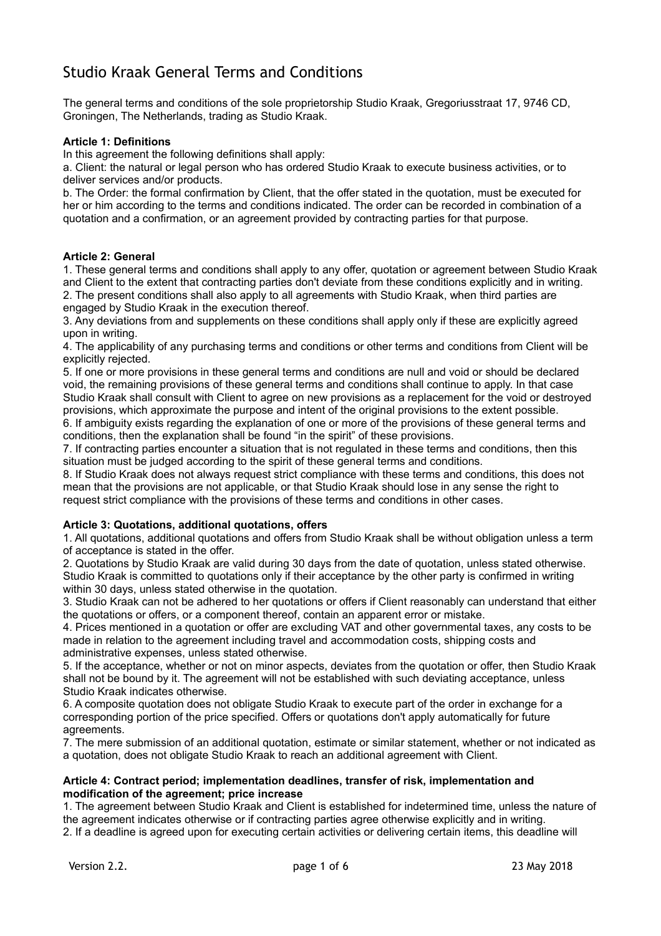The general terms and conditions of the sole proprietorship Studio Kraak, Gregoriusstraat 17, 9746 CD, Groningen, The Netherlands, trading as Studio Kraak.

### **Article 1: Definitions**

In this agreement the following definitions shall apply:

a. Client: the natural or legal person who has ordered Studio Kraak to execute business activities, or to deliver services and/or products.

b. The Order: the formal confirmation by Client, that the offer stated in the quotation, must be executed for her or him according to the terms and conditions indicated. The order can be recorded in combination of a quotation and a confirmation, or an agreement provided by contracting parties for that purpose.

## **Article 2: General**

1. These general terms and conditions shall apply to any offer, quotation or agreement between Studio Kraak and Client to the extent that contracting parties don't deviate from these conditions explicitly and in writing. 2. The present conditions shall also apply to all agreements with Studio Kraak, when third parties are engaged by Studio Kraak in the execution thereof.

3. Any deviations from and supplements on these conditions shall apply only if these are explicitly agreed upon in writing.

4. The applicability of any purchasing terms and conditions or other terms and conditions from Client will be explicitly rejected.

5. If one or more provisions in these general terms and conditions are null and void or should be declared void, the remaining provisions of these general terms and conditions shall continue to apply. In that case Studio Kraak shall consult with Client to agree on new provisions as a replacement for the void or destroyed provisions, which approximate the purpose and intent of the original provisions to the extent possible. 6. If ambiguity exists regarding the explanation of one or more of the provisions of these general terms and

conditions, then the explanation shall be found "in the spirit" of these provisions. 7. If contracting parties encounter a situation that is not regulated in these terms and conditions, then this situation must be judged according to the spirit of these general terms and conditions.

8. If Studio Kraak does not always request strict compliance with these terms and conditions, this does not mean that the provisions are not applicable, or that Studio Kraak should lose in any sense the right to request strict compliance with the provisions of these terms and conditions in other cases.

## **Article 3: Quotations, additional quotations, offers**

1. All quotations, additional quotations and offers from Studio Kraak shall be without obligation unless a term of acceptance is stated in the offer.

2. Quotations by Studio Kraak are valid during 30 days from the date of quotation, unless stated otherwise. Studio Kraak is committed to quotations only if their acceptance by the other party is confirmed in writing within 30 days, unless stated otherwise in the quotation.

3. Studio Kraak can not be adhered to her quotations or offers if Client reasonably can understand that either the quotations or offers, or a component thereof, contain an apparent error or mistake.

4. Prices mentioned in a quotation or offer are excluding VAT and other governmental taxes, any costs to be made in relation to the agreement including travel and accommodation costs, shipping costs and administrative expenses, unless stated otherwise.

5. If the acceptance, whether or not on minor aspects, deviates from the quotation or offer, then Studio Kraak shall not be bound by it. The agreement will not be established with such deviating acceptance, unless Studio Kraak indicates otherwise.

6. A composite quotation does not obligate Studio Kraak to execute part of the order in exchange for a corresponding portion of the price specified. Offers or quotations don't apply automatically for future agreements.

7. The mere submission of an additional quotation, estimate or similar statement, whether or not indicated as a quotation, does not obligate Studio Kraak to reach an additional agreement with Client.

#### **Article 4: Contract period; implementation deadlines, transfer of risk, implementation and modification of the agreement; price increase**

1. The agreement between Studio Kraak and Client is established for indetermined time, unless the nature of the agreement indicates otherwise or if contracting parties agree otherwise explicitly and in writing.

2. If a deadline is agreed upon for executing certain activities or delivering certain items, this deadline will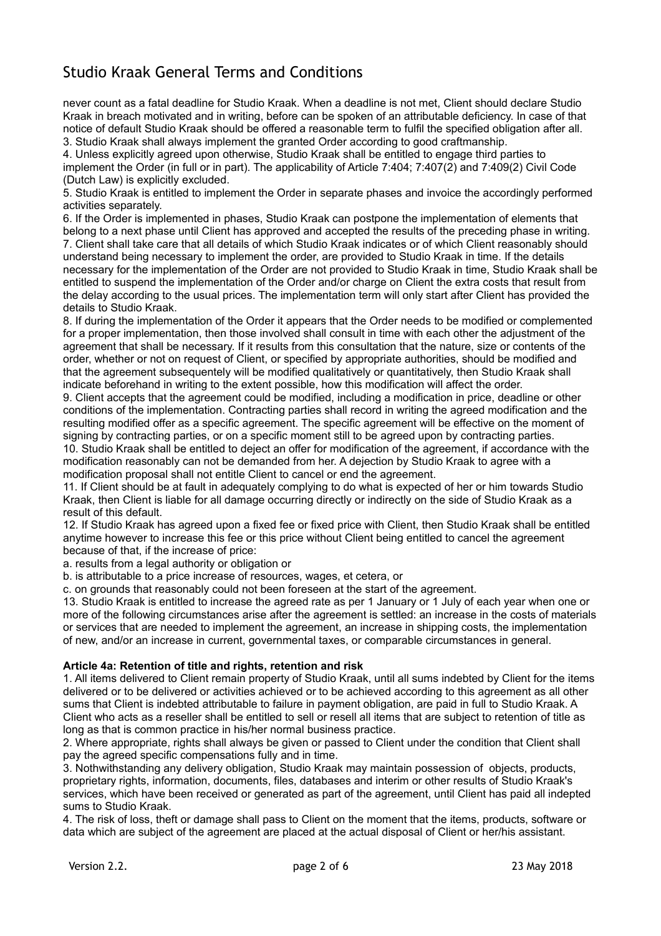never count as a fatal deadline for Studio Kraak. When a deadline is not met, Client should declare Studio Kraak in breach motivated and in writing, before can be spoken of an attributable deficiency. In case of that notice of default Studio Kraak should be offered a reasonable term to fulfil the specified obligation after all. 3. Studio Kraak shall always implement the granted Order according to good craftmanship.

4. Unless explicitly agreed upon otherwise, Studio Kraak shall be entitled to engage third parties to implement the Order (in full or in part). The applicability of Article 7:404; 7:407(2) and 7:409(2) Civil Code (Dutch Law) is explicitly excluded.

5. Studio Kraak is entitled to implement the Order in separate phases and invoice the accordingly performed activities separately.

6. If the Order is implemented in phases, Studio Kraak can postpone the implementation of elements that belong to a next phase until Client has approved and accepted the results of the preceding phase in writing. 7. Client shall take care that all details of which Studio Kraak indicates or of which Client reasonably should understand being necessary to implement the order, are provided to Studio Kraak in time. If the details necessary for the implementation of the Order are not provided to Studio Kraak in time, Studio Kraak shall be entitled to suspend the implementation of the Order and/or charge on Client the extra costs that result from the delay according to the usual prices. The implementation term will only start after Client has provided the details to Studio Kraak.

8. If during the implementation of the Order it appears that the Order needs to be modified or complemented for a proper implementation, then those involved shall consult in time with each other the adjustment of the agreement that shall be necessary. If it results from this consultation that the nature, size or contents of the order, whether or not on request of Client, or specified by appropriate authorities, should be modified and that the agreement subsequentely will be modified qualitatively or quantitatively, then Studio Kraak shall indicate beforehand in writing to the extent possible, how this modification will affect the order.

9. Client accepts that the agreement could be modified, including a modification in price, deadline or other conditions of the implementation. Contracting parties shall record in writing the agreed modification and the resulting modified offer as a specific agreement. The specific agreement will be effective on the moment of signing by contracting parties, or on a specific moment still to be agreed upon by contracting parties. 10. Studio Kraak shall be entitled to deject an offer for modification of the agreement, if accordance with the modification reasonably can not be demanded from her. A dejection by Studio Kraak to agree with a

modification proposal shall not entitle Client to cancel or end the agreement.

11. If Client should be at fault in adequately complying to do what is expected of her or him towards Studio Kraak, then Client is liable for all damage occurring directly or indirectly on the side of Studio Kraak as a result of this default.

12. If Studio Kraak has agreed upon a fixed fee or fixed price with Client, then Studio Kraak shall be entitled anytime however to increase this fee or this price without Client being entitled to cancel the agreement because of that, if the increase of price:

a. results from a legal authority or obligation or

b. is attributable to a price increase of resources, wages, et cetera, or

c. on grounds that reasonably could not been foreseen at the start of the agreement.

13. Studio Kraak is entitled to increase the agreed rate as per 1 January or 1 July of each year when one or more of the following circumstances arise after the agreement is settled: an increase in the costs of materials or services that are needed to implement the agreement, an increase in shipping costs, the implementation of new, and/or an increase in current, governmental taxes, or comparable circumstances in general.

## **Article 4a: Retention of title and rights, retention and risk**

1. All items delivered to Client remain property of Studio Kraak, until all sums indebted by Client for the items delivered or to be delivered or activities achieved or to be achieved according to this agreement as all other sums that Client is indebted attributable to failure in payment obligation, are paid in full to Studio Kraak. A Client who acts as a reseller shall be entitled to sell or resell all items that are subject to retention of title as long as that is common practice in his/her normal business practice.

2. Where appropriate, rights shall always be given or passed to Client under the condition that Client shall pay the agreed specific compensations fully and in time.

3. Nothwithstanding any delivery obligation, Studio Kraak may maintain possession of objects, products, proprietary rights, information, documents, files, databases and interim or other results of Studio Kraak's services, which have been received or generated as part of the agreement, until Client has paid all indepted sums to Studio Kraak.

4. The risk of loss, theft or damage shall pass to Client on the moment that the items, products, software or data which are subject of the agreement are placed at the actual disposal of Client or her/his assistant.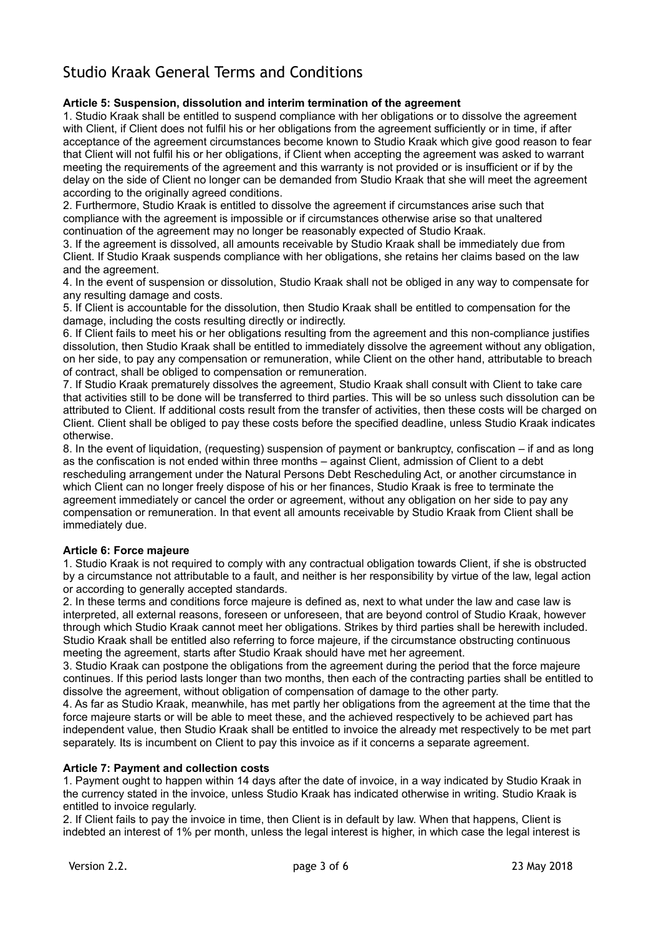## **Article 5: Suspension, dissolution and interim termination of the agreement**

1. Studio Kraak shall be entitled to suspend compliance with her obligations or to dissolve the agreement with Client, if Client does not fulfil his or her obligations from the agreement sufficiently or in time, if after acceptance of the agreement circumstances become known to Studio Kraak which give good reason to fear that Client will not fulfil his or her obligations, if Client when accepting the agreement was asked to warrant meeting the requirements of the agreement and this warranty is not provided or is insufficient or if by the delay on the side of Client no longer can be demanded from Studio Kraak that she will meet the agreement according to the originally agreed conditions.

2. Furthermore, Studio Kraak is entitled to dissolve the agreement if circumstances arise such that compliance with the agreement is impossible or if circumstances otherwise arise so that unaltered continuation of the agreement may no longer be reasonably expected of Studio Kraak.

3. If the agreement is dissolved, all amounts receivable by Studio Kraak shall be immediately due from Client. If Studio Kraak suspends compliance with her obligations, she retains her claims based on the law and the agreement.

4. In the event of suspension or dissolution, Studio Kraak shall not be obliged in any way to compensate for any resulting damage and costs.

5. If Client is accountable for the dissolution, then Studio Kraak shall be entitled to compensation for the damage, including the costs resulting directly or indirectly.

6. If Client fails to meet his or her obligations resulting from the agreement and this non-compliance justifies dissolution, then Studio Kraak shall be entitled to immediately dissolve the agreement without any obligation, on her side, to pay any compensation or remuneration, while Client on the other hand, attributable to breach of contract, shall be obliged to compensation or remuneration.

7. If Studio Kraak prematurely dissolves the agreement, Studio Kraak shall consult with Client to take care that activities still to be done will be transferred to third parties. This will be so unless such dissolution can be attributed to Client. If additional costs result from the transfer of activities, then these costs will be charged on Client. Client shall be obliged to pay these costs before the specified deadline, unless Studio Kraak indicates otherwise.

8. In the event of liquidation, (requesting) suspension of payment or bankruptcy, confiscation – if and as long as the confiscation is not ended within three months – against Client, admission of Client to a debt rescheduling arrangement under the Natural Persons Debt Rescheduling Act, or another circumstance in which Client can no longer freely dispose of his or her finances, Studio Kraak is free to terminate the agreement immediately or cancel the order or agreement, without any obligation on her side to pay any compensation or remuneration. In that event all amounts receivable by Studio Kraak from Client shall be immediately due.

## **Article 6: Force majeure**

1. Studio Kraak is not required to comply with any contractual obligation towards Client, if she is obstructed by a circumstance not attributable to a fault, and neither is her responsibility by virtue of the law, legal action or according to generally accepted standards.

2. In these terms and conditions force majeure is defined as, next to what under the law and case law is interpreted, all external reasons, foreseen or unforeseen, that are beyond control of Studio Kraak, however through which Studio Kraak cannot meet her obligations. Strikes by third parties shall be herewith included. Studio Kraak shall be entitled also referring to force majeure, if the circumstance obstructing continuous meeting the agreement, starts after Studio Kraak should have met her agreement.

3. Studio Kraak can postpone the obligations from the agreement during the period that the force majeure continues. If this period lasts longer than two months, then each of the contracting parties shall be entitled to dissolve the agreement, without obligation of compensation of damage to the other party.

4. As far as Studio Kraak, meanwhile, has met partly her obligations from the agreement at the time that the force majeure starts or will be able to meet these, and the achieved respectively to be achieved part has independent value, then Studio Kraak shall be entitled to invoice the already met respectively to be met part separately. Its is incumbent on Client to pay this invoice as if it concerns a separate agreement.

## **Article 7: Payment and collection costs**

1. Payment ought to happen within 14 days after the date of invoice, in a way indicated by Studio Kraak in the currency stated in the invoice, unless Studio Kraak has indicated otherwise in writing. Studio Kraak is entitled to invoice regularly.

2. If Client fails to pay the invoice in time, then Client is in default by law. When that happens, Client is indebted an interest of 1% per month, unless the legal interest is higher, in which case the legal interest is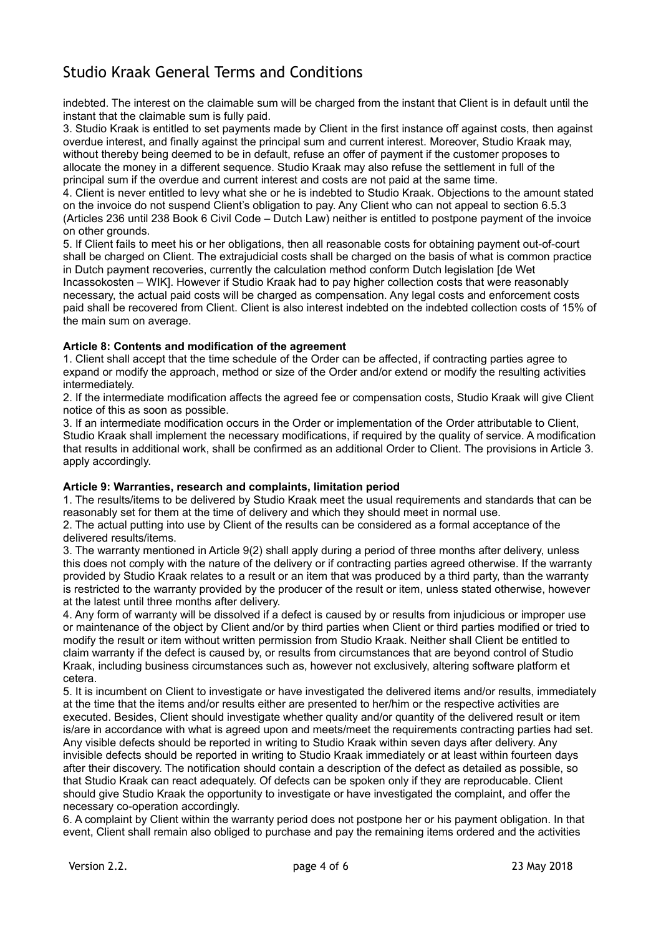indebted. The interest on the claimable sum will be charged from the instant that Client is in default until the instant that the claimable sum is fully paid.

3. Studio Kraak is entitled to set payments made by Client in the first instance off against costs, then against overdue interest, and finally against the principal sum and current interest. Moreover, Studio Kraak may, without thereby being deemed to be in default, refuse an offer of payment if the customer proposes to allocate the money in a different sequence. Studio Kraak may also refuse the settlement in full of the principal sum if the overdue and current interest and costs are not paid at the same time.

4. Client is never entitled to levy what she or he is indebted to Studio Kraak. Objections to the amount stated on the invoice do not suspend Client's obligation to pay. Any Client who can not appeal to section 6.5.3 (Articles 236 until 238 Book 6 Civil Code – Dutch Law) neither is entitled to postpone payment of the invoice on other grounds.

5. If Client fails to meet his or her obligations, then all reasonable costs for obtaining payment out-of-court shall be charged on Client. The extrajudicial costs shall be charged on the basis of what is common practice in Dutch payment recoveries, currently the calculation method conform Dutch legislation [de Wet Incassokosten – WIK]. However if Studio Kraak had to pay higher collection costs that were reasonably necessary, the actual paid costs will be charged as compensation. Any legal costs and enforcement costs paid shall be recovered from Client. Client is also interest indebted on the indebted collection costs of 15% of the main sum on average.

## **Article 8: Contents and modification of the agreement**

1. Client shall accept that the time schedule of the Order can be affected, if contracting parties agree to expand or modify the approach, method or size of the Order and/or extend or modify the resulting activities intermediately.

2. If the intermediate modification affects the agreed fee or compensation costs, Studio Kraak will give Client notice of this as soon as possible.

3. If an intermediate modification occurs in the Order or implementation of the Order attributable to Client, Studio Kraak shall implement the necessary modifications, if required by the quality of service. A modification that results in additional work, shall be confirmed as an additional Order to Client. The provisions in Article 3. apply accordingly.

## **Article 9: Warranties, research and complaints, limitation period**

1. The results/items to be delivered by Studio Kraak meet the usual requirements and standards that can be reasonably set for them at the time of delivery and which they should meet in normal use.

2. The actual putting into use by Client of the results can be considered as a formal acceptance of the delivered results/items.

3. The warranty mentioned in Article 9(2) shall apply during a period of three months after delivery, unless this does not comply with the nature of the delivery or if contracting parties agreed otherwise. If the warranty provided by Studio Kraak relates to a result or an item that was produced by a third party, than the warranty is restricted to the warranty provided by the producer of the result or item, unless stated otherwise, however at the latest until three months after delivery.

4. Any form of warranty will be dissolved if a defect is caused by or results from injudicious or improper use or maintenance of the object by Client and/or by third parties when Client or third parties modified or tried to modify the result or item without written permission from Studio Kraak. Neither shall Client be entitled to claim warranty if the defect is caused by, or results from circumstances that are beyond control of Studio Kraak, including business circumstances such as, however not exclusively, altering software platform et cetera.

5. It is incumbent on Client to investigate or have investigated the delivered items and/or results, immediately at the time that the items and/or results either are presented to her/him or the respective activities are executed. Besides, Client should investigate whether quality and/or quantity of the delivered result or item is/are in accordance with what is agreed upon and meets/meet the requirements contracting parties had set. Any visible defects should be reported in writing to Studio Kraak within seven days after delivery. Any invisible defects should be reported in writing to Studio Kraak immediately or at least within fourteen days after their discovery. The notification should contain a description of the defect as detailed as possible, so that Studio Kraak can react adequately. Of defects can be spoken only if they are reproducable. Client should give Studio Kraak the opportunity to investigate or have investigated the complaint, and offer the necessary co-operation accordingly.

6. A complaint by Client within the warranty period does not postpone her or his payment obligation. In that event, Client shall remain also obliged to purchase and pay the remaining items ordered and the activities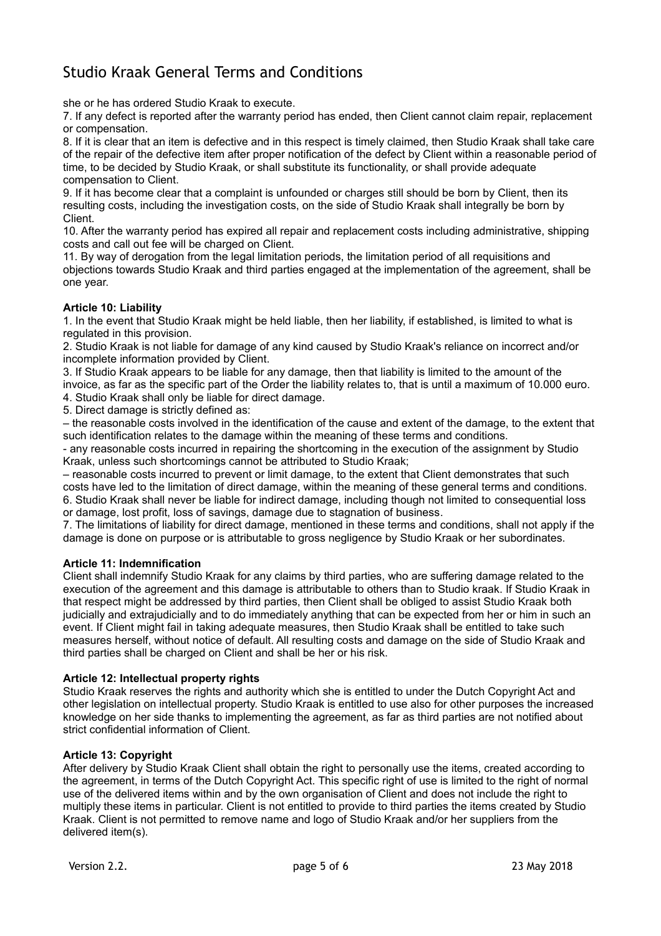she or he has ordered Studio Kraak to execute.

7. If any defect is reported after the warranty period has ended, then Client cannot claim repair, replacement or compensation.

8. If it is clear that an item is defective and in this respect is timely claimed, then Studio Kraak shall take care of the repair of the defective item after proper notification of the defect by Client within a reasonable period of time, to be decided by Studio Kraak, or shall substitute its functionality, or shall provide adequate compensation to Client.

9. If it has become clear that a complaint is unfounded or charges still should be born by Client, then its resulting costs, including the investigation costs, on the side of Studio Kraak shall integrally be born by Client.

10. After the warranty period has expired all repair and replacement costs including administrative, shipping costs and call out fee will be charged on Client.

11. By way of derogation from the legal limitation periods, the limitation period of all requisitions and objections towards Studio Kraak and third parties engaged at the implementation of the agreement, shall be one year.

## **Article 10: Liability**

1. In the event that Studio Kraak might be held liable, then her liability, if established, is limited to what is regulated in this provision.

2. Studio Kraak is not liable for damage of any kind caused by Studio Kraak's reliance on incorrect and/or incomplete information provided by Client.

3. If Studio Kraak appears to be liable for any damage, then that liability is limited to the amount of the invoice, as far as the specific part of the Order the liability relates to, that is until a maximum of 10.000 euro.

4. Studio Kraak shall only be liable for direct damage.

5. Direct damage is strictly defined as:

– the reasonable costs involved in the identification of the cause and extent of the damage, to the extent that such identification relates to the damage within the meaning of these terms and conditions.

- any reasonable costs incurred in repairing the shortcoming in the execution of the assignment by Studio Kraak, unless such shortcomings cannot be attributed to Studio Kraak;

– reasonable costs incurred to prevent or limit damage, to the extent that Client demonstrates that such costs have led to the limitation of direct damage, within the meaning of these general terms and conditions. 6. Studio Kraak shall never be liable for indirect damage, including though not limited to consequential loss or damage, lost profit, loss of savings, damage due to stagnation of business.

7. The limitations of liability for direct damage, mentioned in these terms and conditions, shall not apply if the damage is done on purpose or is attributable to gross negligence by Studio Kraak or her subordinates.

## **Article 11: Indemnification**

Client shall indemnify Studio Kraak for any claims by third parties, who are suffering damage related to the execution of the agreement and this damage is attributable to others than to Studio kraak. If Studio Kraak in that respect might be addressed by third parties, then Client shall be obliged to assist Studio Kraak both judicially and extrajudicially and to do immediately anything that can be expected from her or him in such an event. If Client might fail in taking adequate measures, then Studio Kraak shall be entitled to take such measures herself, without notice of default. All resulting costs and damage on the side of Studio Kraak and third parties shall be charged on Client and shall be her or his risk.

## **Article 12: Intellectual property rights**

Studio Kraak reserves the rights and authority which she is entitled to under the Dutch Copyright Act and other legislation on intellectual property. Studio Kraak is entitled to use also for other purposes the increased knowledge on her side thanks to implementing the agreement, as far as third parties are not notified about strict confidential information of Client.

#### **Article 13: Copyright**

After delivery by Studio Kraak Client shall obtain the right to personally use the items, created according to the agreement, in terms of the Dutch Copyright Act. This specific right of use is limited to the right of normal use of the delivered items within and by the own organisation of Client and does not include the right to multiply these items in particular. Client is not entitled to provide to third parties the items created by Studio Kraak. Client is not permitted to remove name and logo of Studio Kraak and/or her suppliers from the delivered item(s).